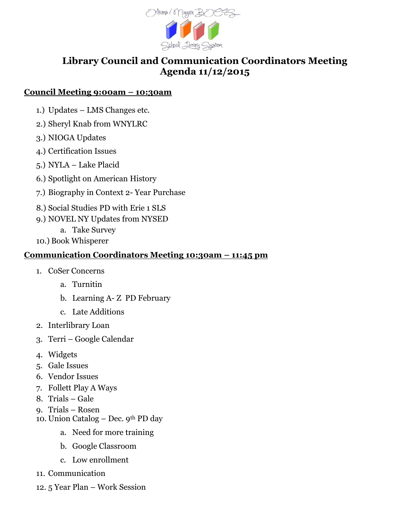

## **Library Council and Communication Coordinators Meeting Agenda 11/12/2015**

## **Council Meeting 9:00am – 10:30am**

- 1.) Updates LMS Changes etc.
- 2.) Sheryl Knab from WNYLRC
- 3.) NIOGA Updates
- 4.) Certification Issues
- 5.) NYLA Lake Placid
- 6.) Spotlight on American History
- 7.) Biography in Context 2- Year Purchase
- 8.) Social Studies PD with Erie 1 SLS
- 9.) NOVEL NY Updates from NYSED
	- a. Take Survey
- 10.) Book Whisperer

## **Communication Coordinators Meeting 10:30am – 11:45 pm**

- 1. CoSer Concerns
	- a. Turnitin
	- b. Learning A- Z PD February
	- c. Late Additions
- 2. Interlibrary Loan
- 3. Terri Google Calendar
- 4. Widgets
- 5. Gale Issues
- 6. Vendor Issues
- 7. Follett Play A Ways
- 8. Trials Gale
- 9. Trials Rosen
- 10. Union Catalog Dec. 9th PD day
	- a. Need for more training
	- b. Google Classroom
	- c. Low enrollment
- 11. Communication
- 12. 5 Year Plan Work Session